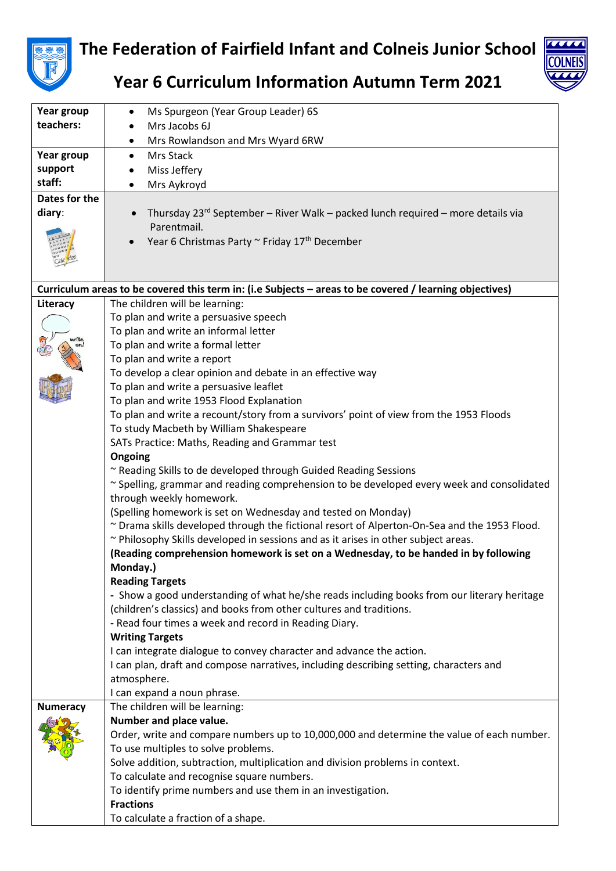

## **The Federation of Fairfield Infant and Colneis Junior School**



**Year 6 Curriculum Information Autumn Term 2021**

| Year group                                                                                              | Ms Spurgeon (Year Group Leader) 6S                                                                                           |  |
|---------------------------------------------------------------------------------------------------------|------------------------------------------------------------------------------------------------------------------------------|--|
| teachers:                                                                                               | Mrs Jacobs 6J                                                                                                                |  |
|                                                                                                         | Mrs Rowlandson and Mrs Wyard 6RW                                                                                             |  |
| Year group                                                                                              | Mrs Stack<br>$\bullet$                                                                                                       |  |
| support                                                                                                 | Miss Jeffery                                                                                                                 |  |
| staff:                                                                                                  | Mrs Aykroyd                                                                                                                  |  |
| Dates for the                                                                                           |                                                                                                                              |  |
| diary:                                                                                                  | Thursday $23^{rd}$ September – River Walk – packed lunch required – more details via                                         |  |
|                                                                                                         | Parentmail.                                                                                                                  |  |
|                                                                                                         | Year 6 Christmas Party ~ Friday 17th December                                                                                |  |
|                                                                                                         |                                                                                                                              |  |
|                                                                                                         |                                                                                                                              |  |
|                                                                                                         |                                                                                                                              |  |
| Curriculum areas to be covered this term in: (i.e Subjects - areas to be covered / learning objectives) |                                                                                                                              |  |
| Literacy                                                                                                | The children will be learning:                                                                                               |  |
|                                                                                                         | To plan and write a persuasive speech                                                                                        |  |
|                                                                                                         | To plan and write an informal letter                                                                                         |  |
|                                                                                                         | To plan and write a formal letter                                                                                            |  |
|                                                                                                         | To plan and write a report                                                                                                   |  |
|                                                                                                         | To develop a clear opinion and debate in an effective way                                                                    |  |
|                                                                                                         | To plan and write a persuasive leaflet                                                                                       |  |
|                                                                                                         | To plan and write 1953 Flood Explanation                                                                                     |  |
|                                                                                                         | To plan and write a recount/story from a survivors' point of view from the 1953 Floods                                       |  |
|                                                                                                         | To study Macbeth by William Shakespeare                                                                                      |  |
|                                                                                                         | SATs Practice: Maths, Reading and Grammar test                                                                               |  |
|                                                                                                         | Ongoing                                                                                                                      |  |
|                                                                                                         | ~ Reading Skills to de developed through Guided Reading Sessions                                                             |  |
|                                                                                                         | ~ Spelling, grammar and reading comprehension to be developed every week and consolidated                                    |  |
|                                                                                                         | through weekly homework.                                                                                                     |  |
|                                                                                                         | (Spelling homework is set on Wednesday and tested on Monday)                                                                 |  |
|                                                                                                         | ~ Drama skills developed through the fictional resort of Alperton-On-Sea and the 1953 Flood.                                 |  |
|                                                                                                         | ~ Philosophy Skills developed in sessions and as it arises in other subject areas.                                           |  |
|                                                                                                         | (Reading comprehension homework is set on a Wednesday, to be handed in by following                                          |  |
|                                                                                                         | Monday.)                                                                                                                     |  |
|                                                                                                         | <b>Reading Targets</b>                                                                                                       |  |
|                                                                                                         | - Show a good understanding of what he/she reads including books from our literary heritage                                  |  |
|                                                                                                         | (children's classics) and books from other cultures and traditions.<br>- Read four times a week and record in Reading Diary. |  |
|                                                                                                         | <b>Writing Targets</b>                                                                                                       |  |
|                                                                                                         | I can integrate dialogue to convey character and advance the action.                                                         |  |
|                                                                                                         | I can plan, draft and compose narratives, including describing setting, characters and                                       |  |
|                                                                                                         | atmosphere.                                                                                                                  |  |
|                                                                                                         | I can expand a noun phrase.                                                                                                  |  |
| <b>Numeracy</b>                                                                                         | The children will be learning:                                                                                               |  |
|                                                                                                         | Number and place value.                                                                                                      |  |
|                                                                                                         | Order, write and compare numbers up to 10,000,000 and determine the value of each number.                                    |  |
|                                                                                                         | To use multiples to solve problems.                                                                                          |  |
|                                                                                                         | Solve addition, subtraction, multiplication and division problems in context.                                                |  |
|                                                                                                         | To calculate and recognise square numbers.                                                                                   |  |
|                                                                                                         | To identify prime numbers and use them in an investigation.                                                                  |  |
|                                                                                                         | <b>Fractions</b>                                                                                                             |  |
|                                                                                                         |                                                                                                                              |  |
|                                                                                                         | To calculate a fraction of a shape.                                                                                          |  |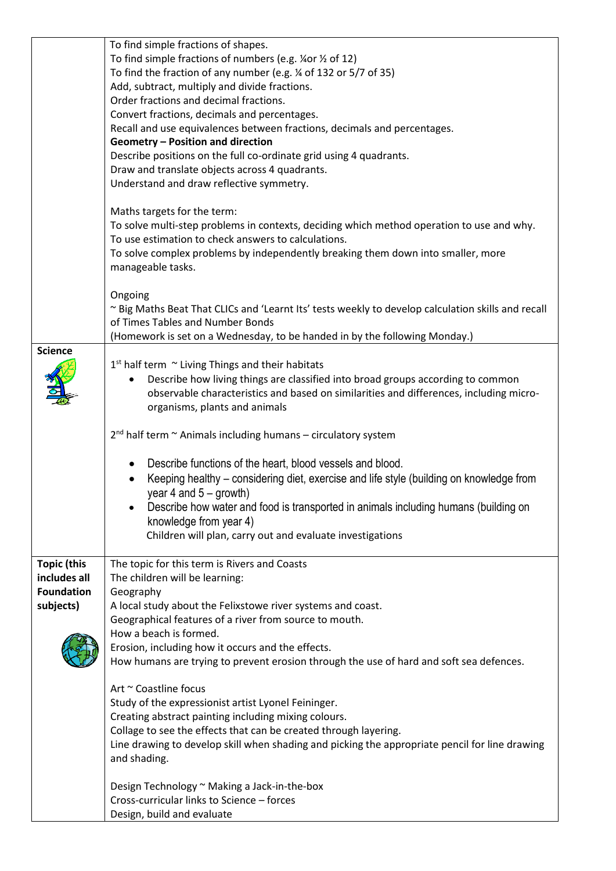|                    | To find simple fractions of shapes.                                                                |
|--------------------|----------------------------------------------------------------------------------------------------|
|                    | To find simple fractions of numbers (e.g. ¼or ½ of 12)                                             |
|                    | To find the fraction of any number (e.g. 1/4 of 132 or 5/7 of 35)                                  |
|                    | Add, subtract, multiply and divide fractions.                                                      |
|                    | Order fractions and decimal fractions.                                                             |
|                    | Convert fractions, decimals and percentages.                                                       |
|                    | Recall and use equivalences between fractions, decimals and percentages.                           |
|                    | Geometry - Position and direction                                                                  |
|                    | Describe positions on the full co-ordinate grid using 4 quadrants.                                 |
|                    | Draw and translate objects across 4 quadrants.                                                     |
|                    | Understand and draw reflective symmetry.                                                           |
|                    | Maths targets for the term:                                                                        |
|                    | To solve multi-step problems in contexts, deciding which method operation to use and why.          |
|                    | To use estimation to check answers to calculations.                                                |
|                    | To solve complex problems by independently breaking them down into smaller, more                   |
|                    | manageable tasks.                                                                                  |
|                    | Ongoing                                                                                            |
|                    | ~ Big Maths Beat That CLICs and 'Learnt Its' tests weekly to develop calculation skills and recall |
|                    | of Times Tables and Number Bonds                                                                   |
|                    | (Homework is set on a Wednesday, to be handed in by the following Monday.)                         |
| <b>Science</b>     |                                                                                                    |
|                    | $1st$ half term $\sim$ Living Things and their habitats                                            |
|                    | Describe how living things are classified into broad groups according to common                    |
|                    | observable characteristics and based on similarities and differences, including micro-             |
|                    | organisms, plants and animals                                                                      |
|                    |                                                                                                    |
|                    | $2^{nd}$ half term $\sim$ Animals including humans – circulatory system                            |
|                    | Describe functions of the heart, blood vessels and blood.                                          |
|                    | Keeping healthy – considering diet, exercise and life style (building on knowledge from            |
|                    | year 4 and $5 -$ growth)                                                                           |
|                    | Describe how water and food is transported in animals including humans (building on                |
|                    | knowledge from year 4)                                                                             |
|                    | Children will plan, carry out and evaluate investigations                                          |
|                    |                                                                                                    |
| <b>Topic (this</b> | The topic for this term is Rivers and Coasts                                                       |
| includes all       | The children will be learning:                                                                     |
| <b>Foundation</b>  | Geography                                                                                          |
| subjects)          | A local study about the Felixstowe river systems and coast.                                        |
|                    | Geographical features of a river from source to mouth.                                             |
|                    | How a beach is formed.                                                                             |
|                    | Erosion, including how it occurs and the effects.                                                  |
|                    | How humans are trying to prevent erosion through the use of hard and soft sea defences.            |
|                    | Art ~ Coastline focus                                                                              |
|                    | Study of the expressionist artist Lyonel Feininger.                                                |
|                    | Creating abstract painting including mixing colours.                                               |
|                    | Collage to see the effects that can be created through layering.                                   |
|                    | Line drawing to develop skill when shading and picking the appropriate pencil for line drawing     |
|                    | and shading.                                                                                       |
|                    |                                                                                                    |
|                    | Design Technology ~ Making a Jack-in-the-box<br>Cross-curricular links to Science - forces         |
|                    | Design, build and evaluate                                                                         |
|                    |                                                                                                    |